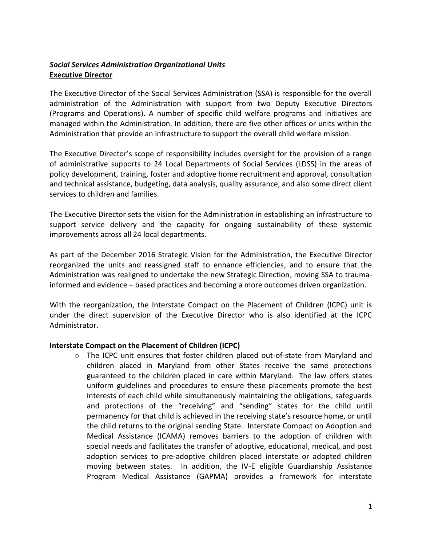## *Social Services Administration Organizational Units* **Executive Director**

The Executive Director of the Social Services Administration (SSA) is responsible for the overall administration of the Administration with support from two Deputy Executive Directors (Programs and Operations). A number of specific child welfare programs and initiatives are managed within the Administration. In addition, there are five other offices or units within the Administration that provide an infrastructure to support the overall child welfare mission.

The Executive Director's scope of responsibility includes oversight for the provision of a range of administrative supports to 24 Local Departments of Social Services (LDSS) in the areas of policy development, training, foster and adoptive home recruitment and approval, consultation and technical assistance, budgeting, data analysis, quality assurance, and also some direct client services to children and families.

The Executive Director sets the vision for the Administration in establishing an infrastructure to support service delivery and the capacity for ongoing sustainability of these systemic improvements across all 24 local departments.

As part of the December 2016 Strategic Vision for the Administration, the Executive Director reorganized the units and reassigned staff to enhance efficiencies, and to ensure that the Administration was realigned to undertake the new Strategic Direction, moving SSA to traumainformed and evidence – based practices and becoming a more outcomes driven organization.

With the reorganization, the Interstate Compact on the Placement of Children (ICPC) unit is under the direct supervision of the Executive Director who is also identified at the ICPC Administrator.

#### **Interstate Compact on the Placement of Children (ICPC)**

o The ICPC unit ensures that foster children placed out-of-state from Maryland and children placed in Maryland from other States receive the same protections guaranteed to the children placed in care within Maryland. The law offers states uniform guidelines and procedures to ensure these placements promote the best interests of each child while simultaneously maintaining the obligations, safeguards and protections of the "receiving" and "sending" states for the child until permanency for that child is achieved in the receiving state's resource home, or until the child returns to the original sending State. Interstate Compact on Adoption and Medical Assistance (ICAMA) removes barriers to the adoption of children with special needs and facilitates the transfer of adoptive, educational, medical, and post adoption services to pre-adoptive children placed interstate or adopted children moving between states. In addition, the IV-E eligible Guardianship Assistance Program Medical Assistance (GAPMA) provides a framework for interstate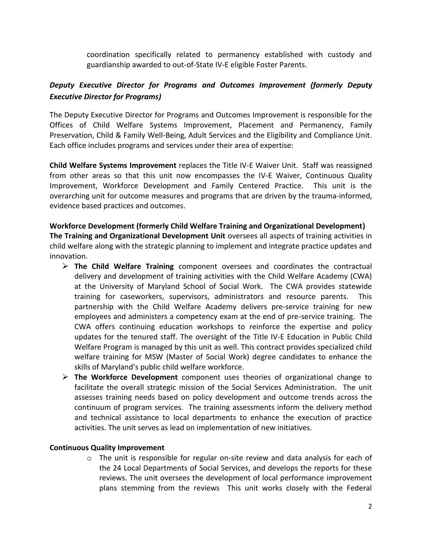coordination specifically related to permanency established with custody and guardianship awarded to out-of-State IV-E eligible Foster Parents.

# *Deputy Executive Director for Programs and Outcomes Improvement (formerly Deputy Executive Director for Programs)*

The Deputy Executive Director for Programs and Outcomes Improvement is responsible for the Offices of Child Welfare Systems Improvement, Placement and Permanency, Family Preservation, Child & Family Well-Being, Adult Services and the Eligibility and Compliance Unit. Each office includes programs and services under their area of expertise:

**Child Welfare Systems Improvement** replaces the Title IV-E Waiver Unit. Staff was reassigned from other areas so that this unit now encompasses the IV-E Waiver, Continuous Quality Improvement, Workforce Development and Family Centered Practice. This unit is the overarching unit for outcome measures and programs that are driven by the trauma-informed, evidence based practices and outcomes.

# **Workforce Development (formerly Child Welfare Training and Organizational Development)**

**The Training and Organizational Development Unit** oversees all aspects of training activities in child welfare along with the strategic planning to implement and integrate practice updates and innovation.

- **The Child Welfare Training** component oversees and coordinates the contractual delivery and development of training activities with the Child Welfare Academy (CWA) at the University of Maryland School of Social Work. The CWA provides statewide training for caseworkers, supervisors, administrators and resource parents. This partnership with the Child Welfare Academy delivers pre-service training for new employees and administers a competency exam at the end of pre-service training. The CWA offers continuing education workshops to reinforce the expertise and policy updates for the tenured staff. The oversight of the Title IV-E Education in Public Child Welfare Program is managed by this unit as well. This contract provides specialized child welfare training for MSW (Master of Social Work) degree candidates to enhance the skills of Maryland's public child welfare workforce.
- **The Workforce Development** component uses theories of organizational change to facilitate the overall strategic mission of the Social Services Administration. The unit assesses training needs based on policy development and outcome trends across the continuum of program services. The training assessments inform the delivery method and technical assistance to local departments to enhance the execution of practice activities. The unit serves as lead on implementation of new initiatives.

## **Continuous Quality Improvement**

o The unit is responsible for regular on-site review and data analysis for each of the 24 Local Departments of Social Services, and develops the reports for these reviews. The unit oversees the development of local performance improvement plans stemming from the reviews This unit works closely with the Federal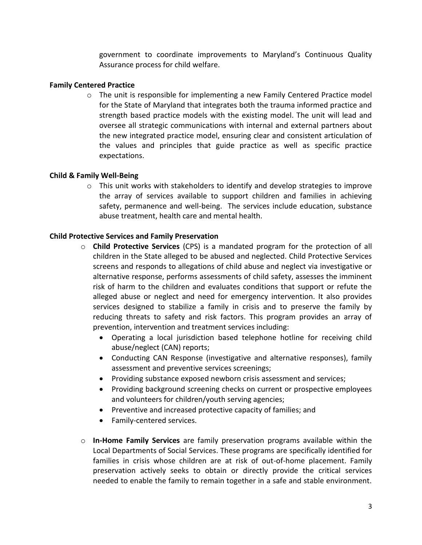government to coordinate improvements to Maryland's Continuous Quality Assurance process for child welfare.

## **Family Centered Practice**

 $\circ$  The unit is responsible for implementing a new Family Centered Practice model for the State of Maryland that integrates both the trauma informed practice and strength based practice models with the existing model. The unit will lead and oversee all strategic communications with internal and external partners about the new integrated practice model, ensuring clear and consistent articulation of the values and principles that guide practice as well as specific practice expectations.

### **Child & Family Well-Being**

 $\circ$  This unit works with stakeholders to identify and develop strategies to improve the array of services available to support children and families in achieving safety, permanence and well-being. The services include education, substance abuse treatment, health care and mental health.

### **Child Protective Services and Family Preservation**

- o **Child Protective Services** (CPS) is a mandated program for the protection of all children in the State alleged to be abused and neglected. Child Protective Services screens and responds to allegations of child abuse and neglect via investigative or alternative response, performs assessments of child safety, assesses the imminent risk of harm to the children and evaluates conditions that support or refute the alleged abuse or neglect and need for emergency intervention. It also provides services designed to stabilize a family in crisis and to preserve the family by reducing threats to safety and risk factors. This program provides an array of prevention, intervention and treatment services including:
	- Operating a local jurisdiction based telephone hotline for receiving child abuse/neglect (CAN) reports;
	- Conducting CAN Response (investigative and alternative responses), family assessment and preventive services screenings;
	- Providing substance exposed newborn crisis assessment and services;
	- Providing background screening checks on current or prospective employees and volunteers for children/youth serving agencies;
	- Preventive and increased protective capacity of families; and
	- Family-centered services.
- o **In-Home Family Services** are family preservation programs available within the Local Departments of Social Services. These programs are specifically identified for families in crisis whose children are at risk of out-of-home placement. Family preservation actively seeks to obtain or directly provide the critical services needed to enable the family to remain together in a safe and stable environment.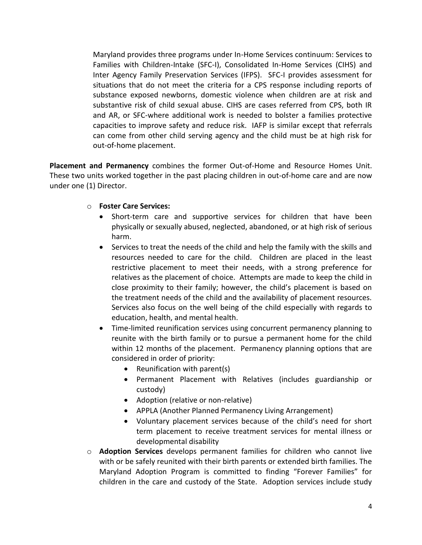Maryland provides three programs under In-Home Services continuum: Services to Families with Children-Intake (SFC-I), Consolidated In-Home Services (CIHS) and Inter Agency Family Preservation Services (IFPS). SFC-I provides assessment for situations that do not meet the criteria for a CPS response including reports of substance exposed newborns, domestic violence when children are at risk and substantive risk of child sexual abuse. CIHS are cases referred from CPS, both IR and AR, or SFC-where additional work is needed to bolster a families protective capacities to improve safety and reduce risk. IAFP is similar except that referrals can come from other child serving agency and the child must be at high risk for out-of-home placement.

**Placement and Permanency** combines the former Out-of-Home and Resource Homes Unit. These two units worked together in the past placing children in out-of-home care and are now under one (1) Director.

### o **Foster Care Services:**

- Short-term care and supportive services for children that have been physically or sexually abused, neglected, abandoned, or at high risk of serious harm.
- Services to treat the needs of the child and help the family with the skills and resources needed to care for the child. Children are placed in the least restrictive placement to meet their needs, with a strong preference for relatives as the placement of choice. Attempts are made to keep the child in close proximity to their family; however, the child's placement is based on the treatment needs of the child and the availability of placement resources. Services also focus on the well being of the child especially with regards to education, health, and mental health.
- Time-limited reunification services using concurrent permanency planning to reunite with the birth family or to pursue a permanent home for the child within 12 months of the placement. Permanency planning options that are considered in order of priority:
	- Reunification with parent(s)
	- Permanent Placement with Relatives (includes guardianship or custody)
	- Adoption (relative or non-relative)
	- APPLA (Another Planned Permanency Living Arrangement)
	- Voluntary placement services because of the child's need for short term placement to receive treatment services for mental illness or developmental disability
- o **Adoption Services** develops permanent families for children who cannot live with or be safely reunited with their birth parents or extended birth families. The Maryland Adoption Program is committed to finding "Forever Families" for children in the care and custody of the State. Adoption services include study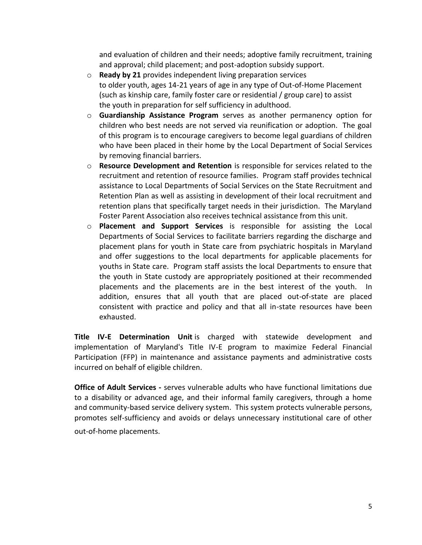and evaluation of children and their needs; adoptive family recruitment, training and approval; child placement; and post-adoption subsidy support.

- o **Ready by 21** provides independent living preparation services to older youth, ages 14-21 years of age in any type of Out-of-Home Placement (such as kinship care, family foster care or residential / group care) to assist the youth in preparation for self sufficiency in adulthood.
- o **Guardianship Assistance Program** serves as another permanency option for children who best needs are not served via reunification or adoption. The goal of this program is to encourage caregivers to become legal guardians of children who have been placed in their home by the Local Department of Social Services by removing financial barriers.
- o **Resource Development and Retention** is responsible for services related to the recruitment and retention of resource families. Program staff provides technical assistance to Local Departments of Social Services on the State Recruitment and Retention Plan as well as assisting in development of their local recruitment and retention plans that specifically target needs in their jurisdiction. The Maryland Foster Parent Association also receives technical assistance from this unit.
- o **Placement and Support Services** is responsible for assisting the Local Departments of Social Services to facilitate barriers regarding the discharge and placement plans for youth in State care from psychiatric hospitals in Maryland and offer suggestions to the local departments for applicable placements for youths in State care. Program staff assists the local Departments to ensure that the youth in State custody are appropriately positioned at their recommended placements and the placements are in the best interest of the youth. In addition, ensures that all youth that are placed out-of-state are placed consistent with practice and policy and that all in-state resources have been exhausted.

**Title IV-E Determination Unit** is charged with statewide development and implementation of Maryland's Title IV-E program to maximize Federal Financial Participation (FFP) in maintenance and assistance payments and administrative costs incurred on behalf of eligible children.

**Office of Adult Services -** serves vulnerable adults who have functional limitations due to a disability or advanced age, and their informal family caregivers, through a home and community-based service delivery system. This system protects vulnerable persons, promotes self-sufficiency and avoids or delays unnecessary institutional care of other out-of-home placements.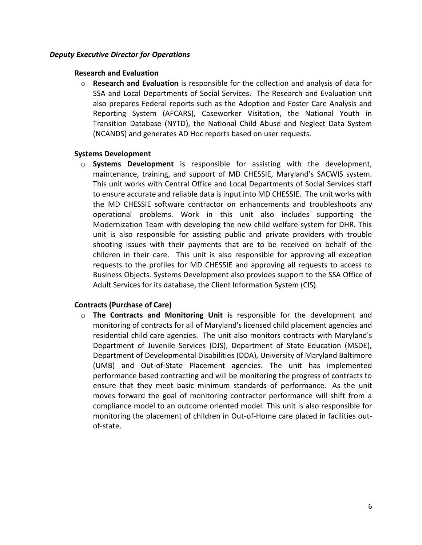#### *Deputy Executive Director for Operations*

#### **Research and Evaluation**

o **Research and Evaluation** is responsible for the collection and analysis of data for SSA and Local Departments of Social Services. The Research and Evaluation unit also prepares Federal reports such as the Adoption and Foster Care Analysis and Reporting System (AFCARS), Caseworker Visitation, the National Youth in Transition Database (NYTD), the National Child Abuse and Neglect Data System (NCANDS) and generates AD Hoc reports based on user requests.

#### **Systems Development**

o **Systems Development** is responsible for assisting with the development, maintenance, training, and support of MD CHESSIE, Maryland's SACWIS system. This unit works with Central Office and Local Departments of Social Services staff to ensure accurate and reliable data is input into MD CHESSIE. The unit works with the MD CHESSIE software contractor on enhancements and troubleshoots any operational problems. Work in this unit also includes supporting the Modernization Team with developing the new child welfare system for DHR. This unit is also responsible for assisting public and private providers with trouble shooting issues with their payments that are to be received on behalf of the children in their care. This unit is also responsible for approving all exception requests to the profiles for MD CHESSIE and approving all requests to access to Business Objects. Systems Development also provides support to the SSA Office of Adult Services for its database, the Client Information System (CIS).

#### **Contracts (Purchase of Care)**

o **The Contracts and Monitoring Unit** is responsible for the development and monitoring of contracts for all of Maryland's licensed child placement agencies and residential child care agencies. The unit also monitors contracts with Maryland's Department of Juvenile Services (DJS), Department of State Education (MSDE), Department of Developmental Disabilities (DDA), University of Maryland Baltimore (UMB) and Out-of-State Placement agencies. The unit has implemented performance based contracting and will be monitoring the progress of contracts to ensure that they meet basic minimum standards of performance. As the unit moves forward the goal of monitoring contractor performance will shift from a compliance model to an outcome oriented model. This unit is also responsible for monitoring the placement of children in Out-of-Home care placed in facilities outof-state.